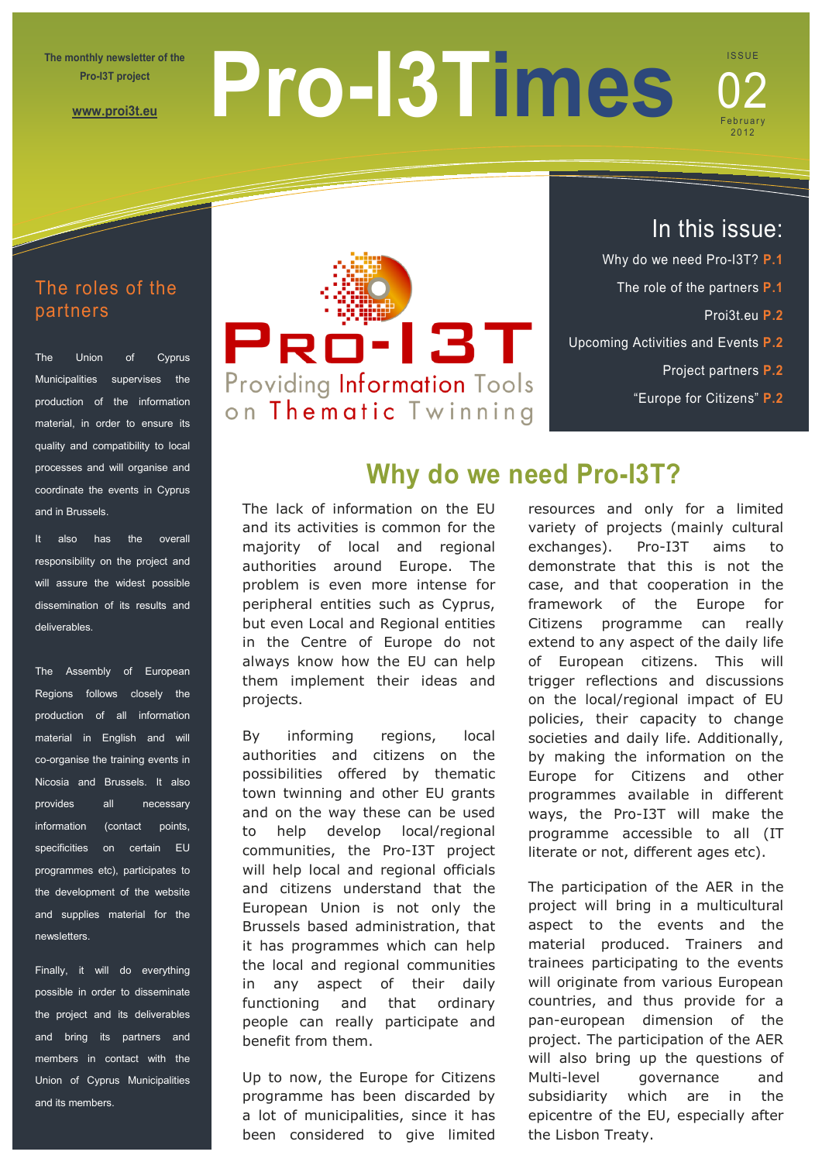**The monthly newsletter of the Pro-I3T project** 

**[www.proi3t.eu](http://www.proi3t.eu/)**

# **Pro-I3Times**

# **ISSUE** February 2012 02

# The roles of the partners

The Union of Cyprus Municipalities supervises the production of the information material, in order to ensure its quality and compatibility to local processes and will organise and coordinate the events in Cyprus and in Brussels.

It also has the overall responsibility on the project and will assure the widest possible dissemination of its results and deliverables.

The Assembly of European Regions follows closely the production of all information material in English and will co-organise the training events in Nicosia and Brussels. It also provides all necessary information (contact points, specificities on certain EU programmes etc), participates to the development of the website and supplies material for the newsletters.

Finally, it will do everything possible in order to disseminate the project and its deliverables and bring its partners and members in contact with the Union of Cyprus Municipalities and its members.



# In this issue:

- Why do we need Pro-I3T? **P.1**
	- The role of the partners **P.1**
		- Proi3t.eu **P.2**
- Upcoming Activities and Events **P.2**
	- Project partners **P.2**
	- "Europe for Citizens" **P.2**

# **Why do we need Pro-I3T?**

The lack of information on the EU and its activities is common for the majority of local and regional authorities around Europe. The problem is even more intense for peripheral entities such as Cyprus, but even Local and Regional entities in the Centre of Europe do not always know how the EU can help them implement their ideas and projects.

By informing regions, local authorities and citizens on the possibilities offered by thematic town twinning and other EU grants and on the way these can be used to help develop local/regional communities, the Pro-I3T project will help local and regional officials and citizens understand that the European Union is not only the Brussels based administration, that it has programmes which can help the local and regional communities in any aspect of their daily functioning and that ordinary people can really participate and benefit from them.

Up to now, the Europe for Citizens programme has been discarded by a lot of municipalities, since it has been considered to give limited

resources and only for a limited variety of projects (mainly cultural exchanges). Pro-I3T aims to demonstrate that this is not the case, and that cooperation in the framework of the Europe for Citizens programme can really extend to any aspect of the daily life of European citizens. This will trigger reflections and discussions on the local/regional impact of EU policies, their capacity to change societies and daily life. Additionally, by making the information on the Europe for Citizens and other programmes available in different

ways, the Pro-I3T will make the programme accessible to all (IT literate or not, different ages etc).

The participation of the AER in the project will bring in a multicultural aspect to the events and the material produced. Trainers and trainees participating to the events will originate from various European countries, and thus provide for a pan-european dimension of the project. The participation of the AER will also bring up the questions of Multi-level governance and subsidiarity which are in the epicentre of the EU, especially after the Lisbon Treaty.